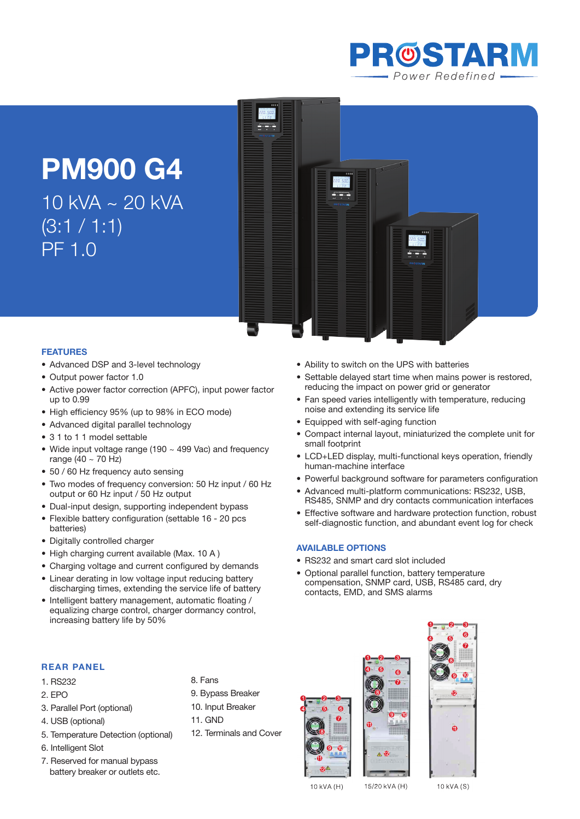

# **PM900 G4**

10 kVA ~ 20 kVA  $(3:1 / 1:1)$ PF 1.0



• Ability to switch on the UPS with batteries

noise and extending its service life • Equipped with self-aging function

• RS232 and smart card slot included

contacts, EMD, and SMS alarms

Optional parallel function, battery temperature compensation, SNMP card, USB, RS485 card, dry

small footprint

**Available Options**

human-machine interface

• Settable delayed start time when mains power is restored,

Compact internal layout, miniaturized the complete unit for

• LCD+LED display, multi-functional keys operation, friendly

• Powerful background software for parameters configuration Advanced multi-platform communications: RS232, USB, RS485, SNMP and dry contacts communication interfaces Effective software and hardware protection function, robust self-diagnostic function, and abundant event log for check

reducing the impact on power grid or generator • Fan speed varies intelligently with temperature, reducing

#### **Features**

- Advanced DSP and 3-level technology
- Output power factor 1.0
- Active power factor correction (APFC), input power factor up to 0.99
- High efficiency 95% (up to 98% in ECO mode)
- Advanced digital parallel technology
- 3.1 to 1.1 model settable
- Wide input voltage range (190 ~ 499 Vac) and frequency range  $(40 \sim 70$  Hz)
- 50 / 60 Hz frequency auto sensing
- Two modes of frequency conversion: 50 Hz input / 60 Hz output or 60 Hz input / 50 Hz output
- Dual-input design, supporting independent bypass
- Flexible battery configuration (settable 16 20 pcs) batteries)
- Digitally controlled charger
- High charging current available (Max. 10 A)
- Charging voltage and current configured by demands
- Linear derating in low voltage input reducing battery discharging times, extending the service life of battery
- Intelligent battery management, automatic floating / equalizing charge control, charger dormancy control, increasing battery life by 50%

# **REAR PANEL**

- 1. RS232
- 2. EPO
- 3. Parallel Port (optional)
- 4. USB (optional)
- 5. Temperature Detection (optional)
- 6. Intelligent Slot
- 7. Reserved for manual bypass battery breaker or outlets etc.



- 9. Bypass Breaker
- 10. Input Breaker
- 11. GND
- 12. Terminals and Cover







10 kVA (H)

15/20 kVA (H)

10 kVA (S)